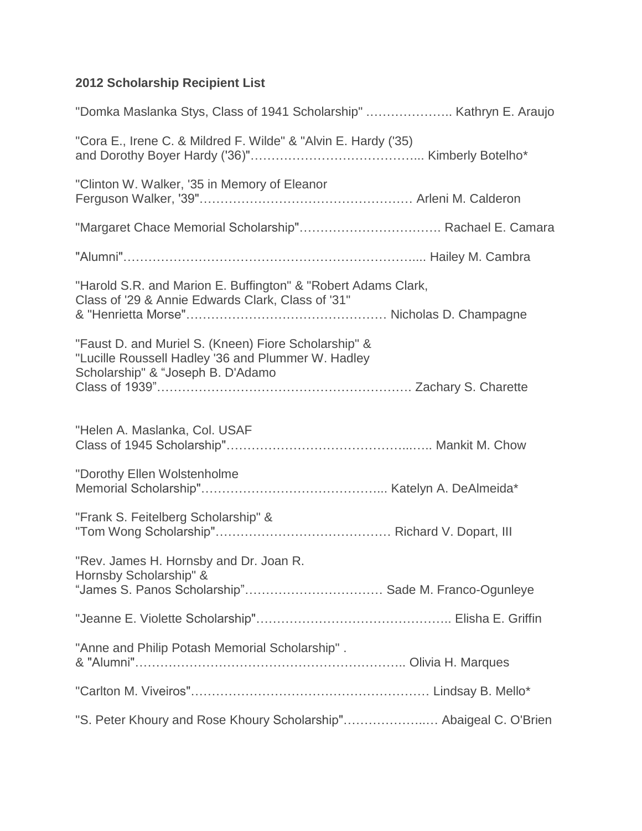## **2012 Scholarship Recipient List**

| "Domka Maslanka Stys, Class of 1941 Scholarship"  Kathryn E. Araujo                                                                             |  |
|-------------------------------------------------------------------------------------------------------------------------------------------------|--|
| "Cora E., Irene C. & Mildred F. Wilde" & "Alvin E. Hardy ('35)                                                                                  |  |
| "Clinton W. Walker, '35 in Memory of Eleanor                                                                                                    |  |
|                                                                                                                                                 |  |
|                                                                                                                                                 |  |
| "Harold S.R. and Marion E. Buffington" & "Robert Adams Clark,<br>Class of '29 & Annie Edwards Clark, Class of '31"                              |  |
| "Faust D. and Muriel S. (Kneen) Fiore Scholarship" &<br>"Lucille Roussell Hadley '36 and Plummer W. Hadley<br>Scholarship" & "Joseph B. D'Adamo |  |
| "Helen A. Maslanka, Col. USAF                                                                                                                   |  |
| "Dorothy Ellen Wolstenholme                                                                                                                     |  |
| "Frank S. Feitelberg Scholarship" &                                                                                                             |  |
| "Rev. James H. Hornsby and Dr. Joan R.<br>Hornsby Scholarship" &<br>"James S. Panos Scholarship" Sade M. Franco-Ogunleye                        |  |
|                                                                                                                                                 |  |
| "Anne and Philip Potash Memorial Scholarship".                                                                                                  |  |
|                                                                                                                                                 |  |
| "S. Peter Khoury and Rose Khoury Scholarship" Abaigeal C. O'Brien                                                                               |  |